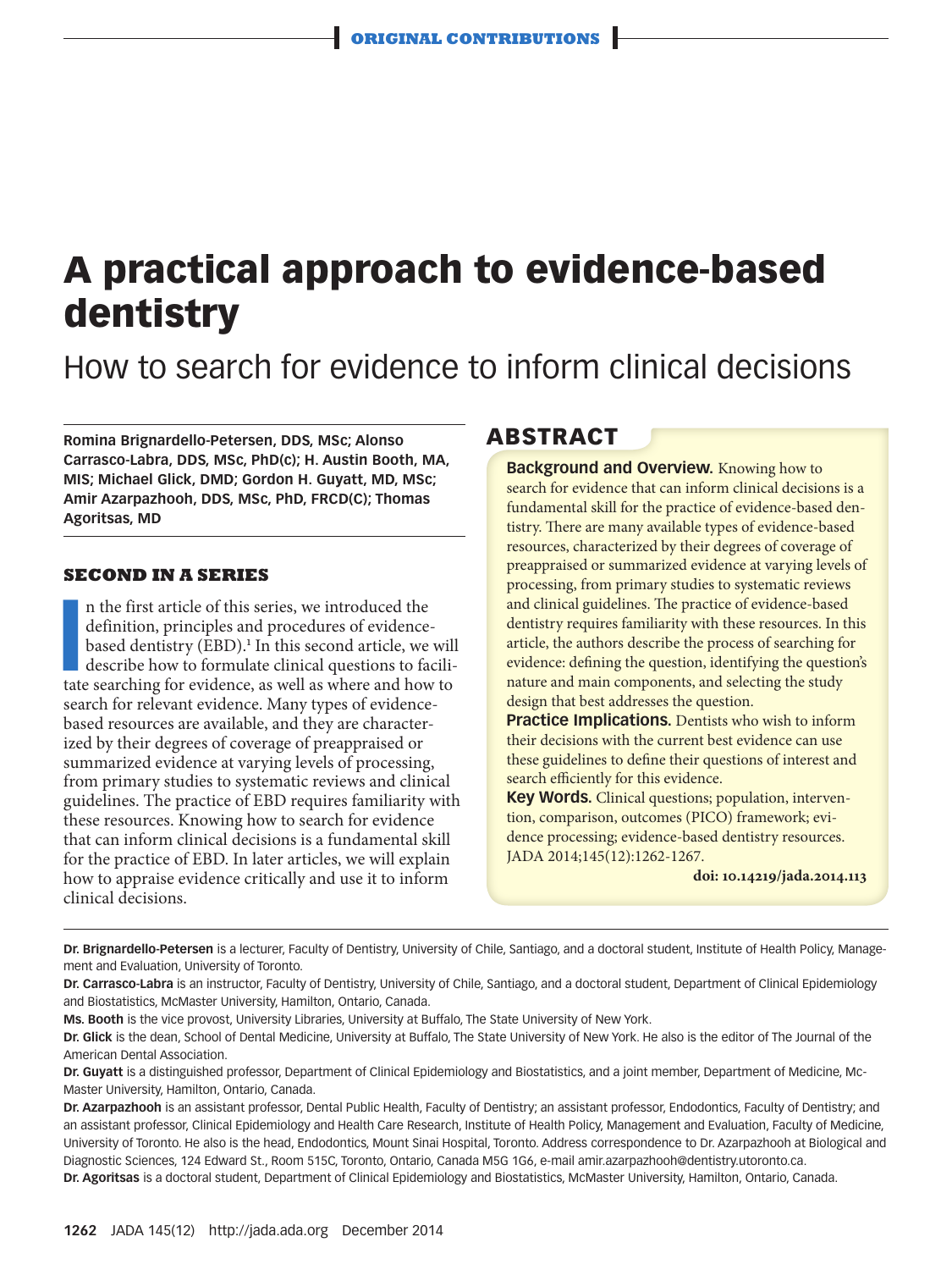# **A practical approach to evidence-based dentistry**

How to search for evidence to inform clinical decisions

**Romina Brignardello-Petersen, DDS, MSc; Alonso Carrasco-Labra, DDS, MSc, PhD(c); H. Austin Booth, MA, MIS; Michael Glick, DMD; Gordon H. Guyatt, MD, MSc; Amir Azarpazhooh, DDS, MSc, PhD, FRCD(C); Thomas Agoritsas, MD**

### **SECOND IN A SERIES**

In the first article of this series, we introduced the definition, principles and procedures of evidence-based dentistry (EBD).<sup>1</sup> In this second article, we will describe how to formulate clinical questions to facilitate n the first article of this series, we introduced the definition, principles and procedures of evidencebased dentistry (EBD).<sup>1</sup> In this second article, we will describe how to formulate clinical questions to facilisearch for relevant evidence. Many types of evidencebased resources are available, and they are characterized by their degrees of coverage of preappraised or summarized evidence at varying levels of processing, from primary studies to systematic reviews and clinical guidelines. The practice of EBD requires familiarity with these resources. Knowing how to search for evidence that can inform clinical decisions is a fundamental skill for the practice of EBD. In later articles, we will explain how to appraise evidence critically and use it to inform clinical decisions.

## **ABSTRACT**

**Background and Overview.** Knowing how to search for evidence that can inform clinical decisions is a fundamental skill for the practice of evidence-based dentistry. There are many available types of evidence-based resources, characterized by their degrees of coverage of preappraised or summarized evidence at varying levels of processing, from primary studies to systematic reviews and clinical guidelines. The practice of evidence-based dentistry requires familiarity with these resources. In this article, the authors describe the process of searching for evidence: defining the question, identifying the question's nature and main components, and selecting the study design that best addresses the question.

**Practice Implications.** Dentists who wish to inform their decisions with the current best evidence can use these guidelines to define their questions of interest and search efficiently for this evidence.

**Key Words.** Clinical questions; population, intervention, comparison, outcomes (PICO) framework; evidence processing; evidence-based dentistry resources. JADA 2014;145(12):1262-1267.

**doi: 10.14219/jada.2014.113**

**Dr. Brignardello-Petersen** is a lecturer, Faculty of Dentistry, University of Chile, Santiago, and a doctoral student, Institute of Health Policy, Management and Evaluation, University of Toronto.

**Dr. Carrasco-Labra** is an instructor, Faculty of Dentistry, University of Chile, Santiago, and a doctoral student, Department of Clinical Epidemiology and Biostatistics, McMaster University, Hamilton, Ontario, Canada.

**Ms. Booth** is the vice provost, University Libraries, University at Buffalo, The State University of New York.

**Dr. Glick** is the dean, School of Dental Medicine, University at Buffalo, The State University of New York. He also is the editor of The Journal of the American Dental Association.

**Dr. Guyatt** is a distinguished professor, Department of Clinical Epidemiology and Biostatistics, and a joint member, Department of Medicine, Mc-Master University, Hamilton, Ontario, Canada.

**Dr. Azarpazhooh** is an assistant professor, Dental Public Health, Faculty of Dentistry; an assistant professor, Endodontics, Faculty of Dentistry; and an assistant professor, Clinical Epidemiology and Health Care Research, Institute of Health Policy, Management and Evaluation, Faculty of Medicine, University of Toronto. He also is the head, Endodontics, Mount Sinai Hospital, Toronto. Address correspondence to Dr. Azarpazhooh at Biological and Diagnostic Sciences, 124 Edward St., Room 515C, Toronto, Ontario, Canada M5G 1G6, e-mail amir.azarpazhooh@dentistry.utoronto.ca. **Dr. Agoritsas** is a doctoral student, Department of Clinical Epidemiology and Biostatistics, McMaster University, Hamilton, Ontario, Canada.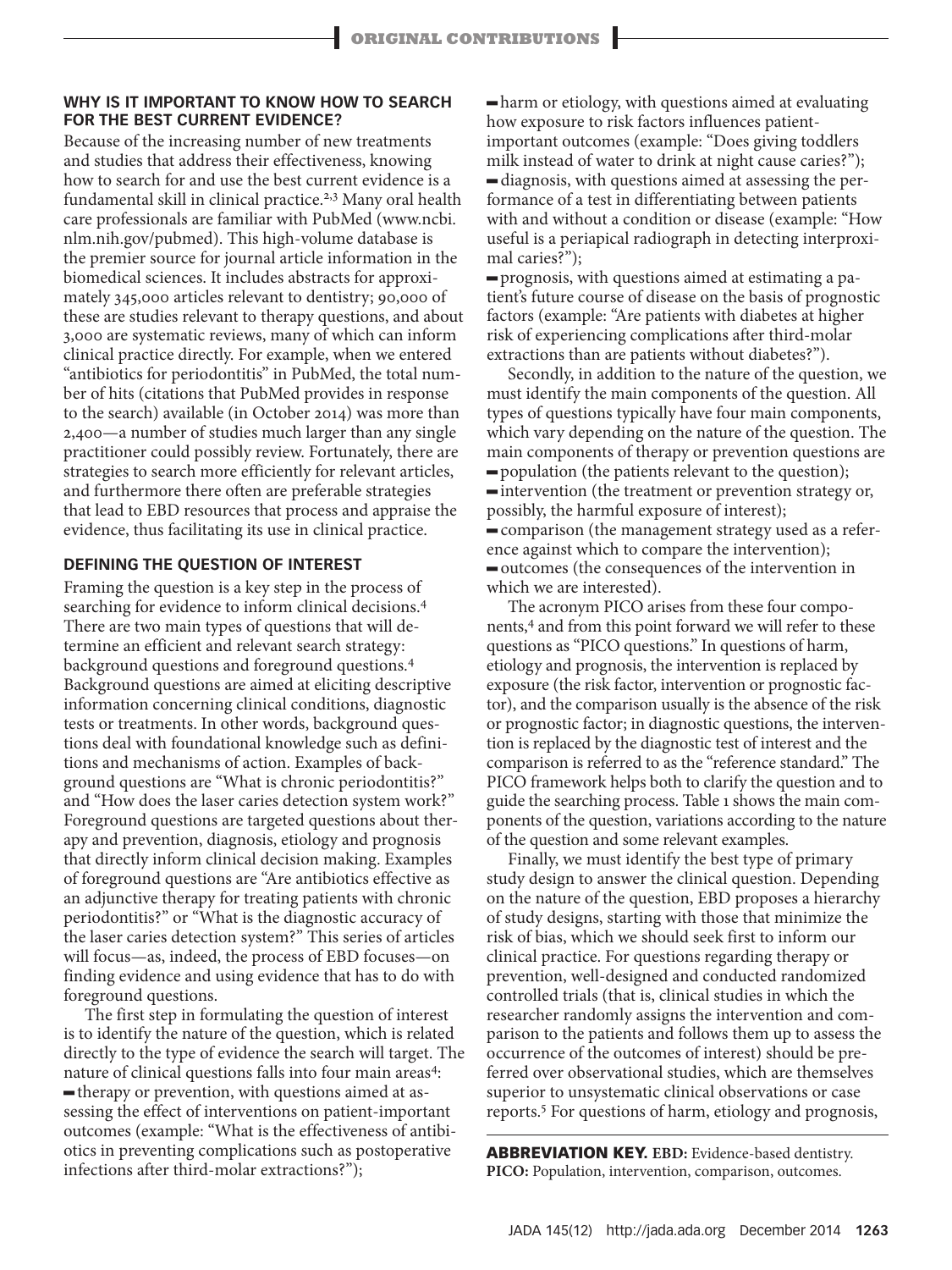## **WHY IS IT IMPORTANT TO KNOW HOW TO SEARCH FOR THE BEST CURRENT EVIDENCE?**

Because of the increasing number of new treatments and studies that address their effectiveness, knowing how to search for and use the best current evidence is a fundamental skill in clinical practice.2,3 Many oral health care professionals are familiar with PubMed (www.ncbi. nlm.nih.gov/pubmed). This high-volume database is the premier source for journal article information in the biomedical sciences. It includes abstracts for approximately 345,000 articles relevant to dentistry; 90,000 of these are studies relevant to therapy questions, and about 3,000 are systematic reviews, many of which can inform clinical practice directly. For example, when we entered "antibiotics for periodontitis" in PubMed, the total number of hits (citations that PubMed provides in response to the search) available (in October 2014) was more than 2,400—a number of studies much larger than any single practitioner could possibly review. Fortunately, there are strategies to search more efficiently for relevant articles, and furthermore there often are preferable strategies that lead to EBD resources that process and appraise the evidence, thus facilitating its use in clinical practice.

## **DEFINING THE QUESTION OF INTEREST**

Framing the question is a key step in the process of searching for evidence to inform clinical decisions.4 There are two main types of questions that will determine an efficient and relevant search strategy: background questions and foreground questions.<sup>4</sup> Background questions are aimed at eliciting descriptive information concerning clinical conditions, diagnostic tests or treatments. In other words, background questions deal with foundational knowledge such as definitions and mechanisms of action. Examples of background questions are "What is chronic periodontitis?" and "How does the laser caries detection system work?" Foreground questions are targeted questions about therapy and prevention, diagnosis, etiology and prognosis that directly inform clinical decision making. Examples of foreground questions are "Are antibiotics effective as an adjunctive therapy for treating patients with chronic periodontitis?" or "What is the diagnostic accuracy of the laser caries detection system?" This series of articles will focus—as, indeed, the process of EBD focuses—on finding evidence and using evidence that has to do with foreground questions.

The first step in formulating the question of interest is to identify the nature of the question, which is related directly to the type of evidence the search will target. The nature of clinical questions falls into four main areas<sup>4</sup>: - therapy or prevention, with questions aimed at assessing the effect of interventions on patient-important outcomes (example: "What is the effectiveness of antibiotics in preventing complications such as postoperative infections after third-molar extractions?");

 $\blacksquare$  harm or etiology, with questions aimed at evaluating how exposure to risk factors influences patientimportant outcomes (example: "Does giving toddlers milk instead of water to drink at night cause caries?"); diagnosis, with questions aimed at assessing the performance of a test in differentiating between patients with and without a condition or disease (example: "How useful is a periapical radiograph in detecting interproximal caries?");

rognosis, with questions aimed at estimating a patient's future course of disease on the basis of prognostic factors (example: "Are patients with diabetes at higher risk of experiencing complications after third-molar extractions than are patients without diabetes?").

Secondly, in addition to the nature of the question, we must identify the main components of the question. All types of questions typically have four main components, which vary depending on the nature of the question. The main components of therapy or prevention questions are  $\rightarrow$  population (the patients relevant to the question); intervention (the treatment or prevention strategy or, possibly, the harmful exposure of interest); - comparison (the management strategy used as a reference against which to compare the intervention);  $=$  outcomes (the consequences of the intervention in which we are interested).

The acronym PICO arises from these four components,<sup>4</sup> and from this point forward we will refer to these questions as "PICO questions." In questions of harm, etiology and prognosis, the intervention is replaced by exposure (the risk factor, intervention or prognostic factor), and the comparison usually is the absence of the risk or prognostic factor; in diagnostic questions, the intervention is replaced by the diagnostic test of interest and the comparison is referred to as the "reference standard." The PICO framework helps both to clarify the question and to guide the searching process. Table 1 shows the main components of the question, variations according to the nature of the question and some relevant examples.

Finally, we must identify the best type of primary study design to answer the clinical question. Depending on the nature of the question, EBD proposes a hierarchy of study designs, starting with those that minimize the risk of bias, which we should seek first to inform our clinical practice. For questions regarding therapy or prevention, well-designed and conducted randomized controlled trials (that is, clinical studies in which the researcher randomly assigns the intervention and comparison to the patients and follows them up to assess the occurrence of the outcomes of interest) should be preferred over observational studies, which are themselves superior to unsystematic clinical observations or case reports.5 For questions of harm, etiology and prognosis,

**ABBREVIATION KEY. EBD:** Evidence-based dentistry. **PICO:** Population, intervention, comparison, outcomes.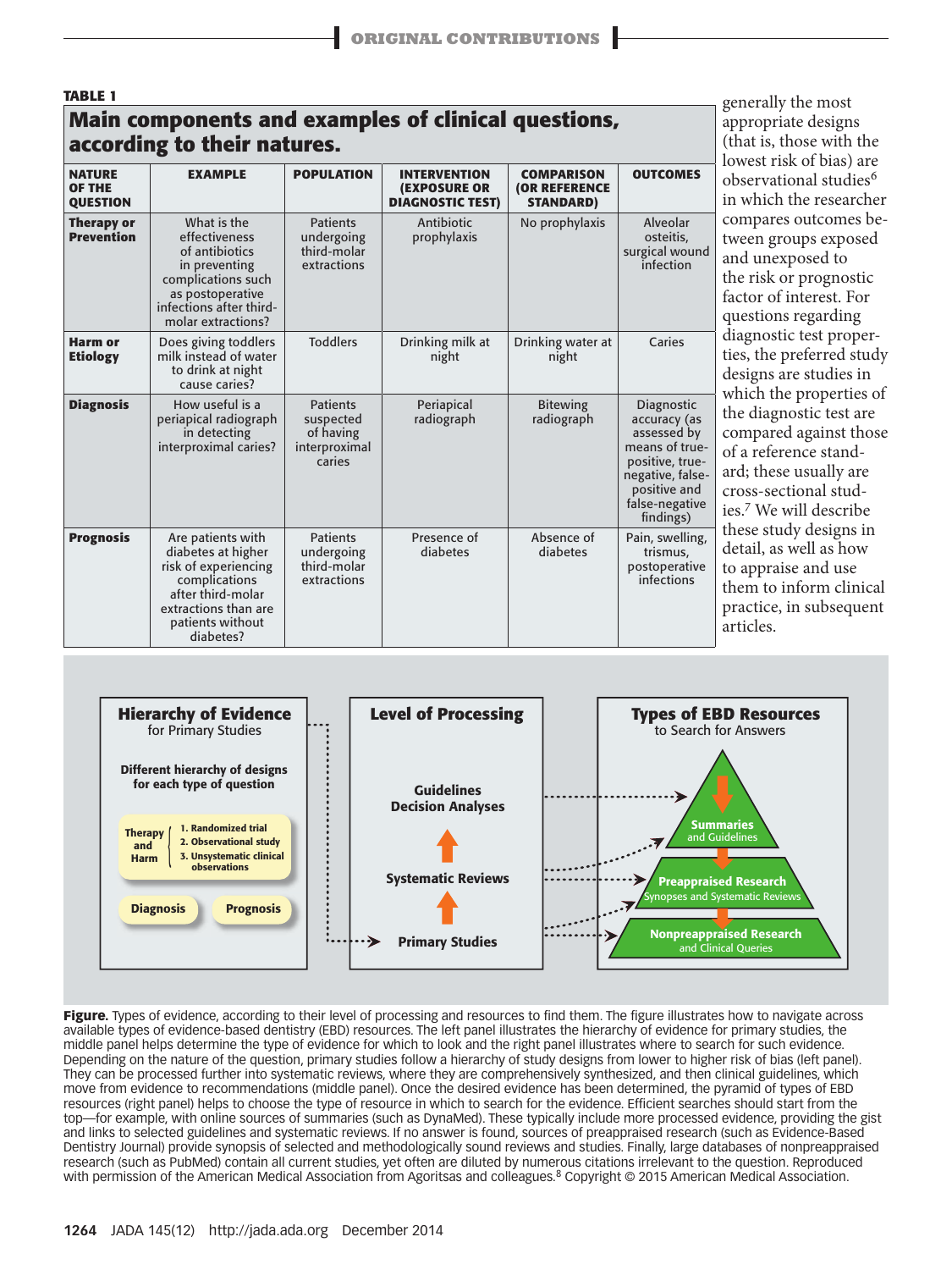generally the most appropriate designs (that is, those with the

# **TABLE 1 Main components and examples of clinical questions, according to their natures.**

|                                                   | lowest risk of bias) are                                                                                                                                       |                                                                      |                                                                       |                                                               |                                                                                                                                                   |                                                                                                                                                                     |
|---------------------------------------------------|----------------------------------------------------------------------------------------------------------------------------------------------------------------|----------------------------------------------------------------------|-----------------------------------------------------------------------|---------------------------------------------------------------|---------------------------------------------------------------------------------------------------------------------------------------------------|---------------------------------------------------------------------------------------------------------------------------------------------------------------------|
| <b>NATURE</b><br><b>OF THE</b><br><b>QUESTION</b> | <b>EXAMPLE</b>                                                                                                                                                 | <b>POPULATION</b>                                                    | <b>INTERVENTION</b><br><b>(EXPOSURE OR</b><br><b>DIAGNOSTIC TEST)</b> | <b>COMPARISON</b><br><b>(OR REFERENCE</b><br><b>STANDARD)</b> | <b>OUTCOMES</b>                                                                                                                                   | observational studies <sup>6</sup><br>in which the researcher                                                                                                       |
| <b>Therapy or</b><br><b>Prevention</b>            | What is the<br>effectiveness<br>of antibiotics<br>in preventing<br>complications such<br>as postoperative<br>infections after third-<br>molar extractions?     | <b>Patients</b><br>undergoing<br>third-molar<br>extractions          | Antibiotic<br>prophylaxis                                             | No prophylaxis                                                | Alveolar<br>osteitis,<br>surgical wound<br>infection                                                                                              | compares outcomes be-<br>tween groups exposed<br>and unexposed to<br>the risk or prognostic<br>factor of interest. For<br>questions regarding                       |
| <b>Harm or</b><br><b>Etiology</b>                 | Does giving toddlers<br>milk instead of water<br>to drink at night<br>cause caries?                                                                            | <b>Toddlers</b>                                                      | Drinking milk at<br>night                                             | Drinking water at<br>night                                    | Caries                                                                                                                                            | diagnostic test proper-<br>ties, the preferred study<br>designs are studies in<br>which the properties of                                                           |
| <b>Diagnosis</b>                                  | How useful is a<br>periapical radiograph<br>in detecting<br>interproximal caries?                                                                              | <b>Patients</b><br>suspected<br>of having<br>interproximal<br>caries | Periapical<br>radiograph                                              | <b>Bitewing</b><br>radiograph                                 | Diagnostic<br>accuracy (as<br>assessed by<br>means of true-<br>positive, true-<br>negative, false-<br>positive and<br>false-negative<br>findings) | the diagnostic test are<br>compared against those<br>of a reference stand-<br>ard; these usually are<br>cross-sectional stud-<br>ies. <sup>7</sup> We will describe |
| <b>Prognosis</b>                                  | Are patients with<br>diabetes at higher<br>risk of experiencing<br>complications<br>after third-molar<br>extractions than are<br>patients without<br>diabetes? | <b>Patients</b><br>undergoing<br>third-molar<br>extractions          | Presence of<br>diabetes                                               | Absence of<br>diabetes                                        | Pain, swelling,<br>trismus,<br>postoperative<br>infections                                                                                        | these study designs in<br>detail, as well as how<br>to appraise and use<br>them to inform clinical<br>practice, in subsequent<br>articles.                          |



**Figure.** Types of evidence, according to their level of processing and resources to find them. The figure illustrates how to navigate across available types of evidence-based dentistry (EBD) resources. The left panel illustrates the hierarchy of evidence for primary studies, the middle panel helps determine the type of evidence for which to look and the right panel illustrates where to search for such evidence. Depending on the nature of the question, primary studies follow a hierarchy of study designs from lower to higher risk of bias (left panel). They can be processed further into systematic reviews, where they are comprehensively synthesized, and then clinical guidelines, which move from evidence to recommendations (middle panel). Once the desired evidence has been determined, the pyramid of types of EBD resources (right panel) helps to choose the type of resource in which to search for the evidence. Efficient searches should start from the top—for example, with online sources of summaries (such as DynaMed). These typically include more processed evidence, providing the gist and links to selected guidelines and systematic reviews. If no answer is found, sources of preappraised research (such as Evidence-Based Dentistry Journal) provide synopsis of selected and methodologically sound reviews and studies. Finally, large databases of nonpreappraised research (such as PubMed) contain all current studies, yet often are diluted by numerous citations irrelevant to the question. Reproduced with permission of the American Medical Association from Agoritsas and colleagues.<sup>8</sup> Copyright © 2015 American Medical Association.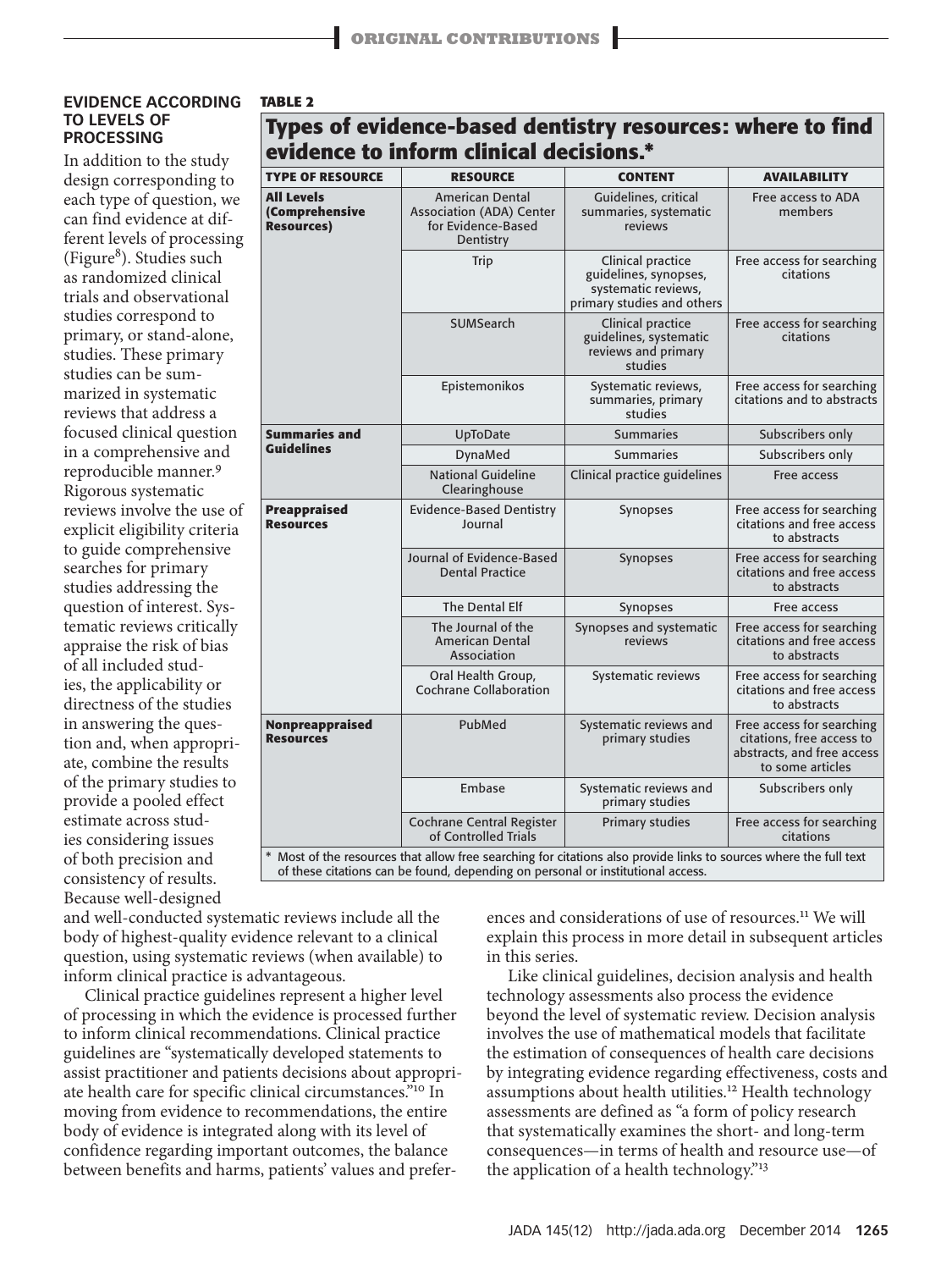#### **EVIDENCE ACCORDING TO LEVELS OF PROCESSING**

**TABLE 2**

In addition to the study design corresponding to each type of question, we can find evidence at different levels of processing (Figure<sup>8</sup>). Studies such as randomized clinical trials and observational studies correspond to primary, or stand-alone, studies. These primary studies can be summarized in systematic reviews that address a focused clinical question in a comprehensive and reproducible manner.<sup>9</sup> Rigorous systematic reviews involve the use of explicit eligibility criteria to guide comprehensive searches for primary studies addressing the question of interest. Systematic reviews critically appraise the risk of bias of all included studies, the applicability or directness of the studies in answering the question and, when appropriate, combine the results of the primary studies to provide a pooled effect estimate across studies considering issues of both precision and consistency of results. Because well-designed

|                                                           | evidence to inform clinical decisions.*                                                      |                                                                                                 |                                                                                                          |  |
|-----------------------------------------------------------|----------------------------------------------------------------------------------------------|-------------------------------------------------------------------------------------------------|----------------------------------------------------------------------------------------------------------|--|
| <b>TYPE OF RESOURCE</b>                                   | <b>RESOURCE</b>                                                                              | <b>CONTENT</b>                                                                                  | <b>AVAILABILITY</b>                                                                                      |  |
| <b>All Levels</b><br>(Comprehensive<br><b>Resources</b> ) | <b>American Dental</b><br><b>Association (ADA) Center</b><br>for Evidence-Based<br>Dentistry | Guidelines, critical<br>summaries, systematic<br>reviews                                        | Free access to ADA<br>members                                                                            |  |
|                                                           | Trip                                                                                         | Clinical practice<br>guidelines, synopses,<br>systematic reviews,<br>primary studies and others | Free access for searching<br>citations                                                                   |  |
|                                                           | <b>SUMSearch</b>                                                                             | Clinical practice<br>guidelines, systematic<br>reviews and primary<br>studies                   | Free access for searching<br>citations                                                                   |  |
|                                                           | Epistemonikos<br>Systematic reviews,<br>summaries, primary<br>studies                        |                                                                                                 | Free access for searching<br>citations and to abstracts                                                  |  |
| <b>Summaries and</b>                                      | UpToDate                                                                                     | <b>Summaries</b>                                                                                | Subscribers only                                                                                         |  |
| <b>Guidelines</b>                                         | DynaMed                                                                                      | <b>Summaries</b>                                                                                | Subscribers only                                                                                         |  |
|                                                           | <b>National Guideline</b><br>Clearinghouse                                                   | Clinical practice guidelines                                                                    | Free access                                                                                              |  |
| <b>Preappraised</b><br><b>Resources</b>                   | <b>Evidence-Based Dentistry</b><br>Journal                                                   | Synopses                                                                                        | Free access for searching<br>citations and free access<br>to abstracts                                   |  |
|                                                           | Journal of Evidence-Based<br><b>Dental Practice</b>                                          | Synopses                                                                                        |                                                                                                          |  |
|                                                           | The Dental Elf                                                                               | Synopses                                                                                        | Free access                                                                                              |  |
|                                                           | The Journal of the<br><b>American Dental</b><br>Association                                  | Synopses and systematic<br>reviews                                                              | Free access for searching<br>citations and free access<br>to abstracts                                   |  |
|                                                           | Oral Health Group,<br>Cochrane Collaboration                                                 | Systematic reviews                                                                              | Free access for searching<br>citations and free access<br>to abstracts                                   |  |
| Nonpreappraised<br><b>Resources</b>                       | PubMed                                                                                       | Systematic reviews and<br>primary studies                                                       | Free access for searching<br>citations, free access to<br>abstracts, and free access<br>to some articles |  |
|                                                           | Embase                                                                                       | Systematic reviews and<br>primary studies                                                       | Subscribers only                                                                                         |  |
|                                                           | <b>Cochrane Central Register</b><br>of Controlled Trials                                     | <b>Primary studies</b>                                                                          | Free access for searching<br>citations                                                                   |  |

**Types of evidence-based dentistry resources: where to fi nd** 

\* Most of the resources that allow free searching for citations also provide links to sources where the full text of these citations can be found, depending on personal or institutional access.

and well-conducted systematic reviews include all the body of highest-quality evidence relevant to a clinical question, using systematic reviews (when available) to inform clinical practice is advantageous.

Clinical practice guidelines represent a higher level of processing in which the evidence is processed further to inform clinical recommendations. Clinical practice guidelines are "systematically developed statements to assist practitioner and patients decisions about appropriate health care for specific clinical circumstances."10 In moving from evidence to recommendations, the entire body of evidence is integrated along with its level of confidence regarding important outcomes, the balance between benefits and harms, patients' values and prefer-

ences and considerations of use of resources.11 We will explain this process in more detail in subsequent articles in this series.

Like clinical guidelines, decision analysis and health technology assessments also process the evidence beyond the level of systematic review. Decision analysis involves the use of mathematical models that facilitate the estimation of consequences of health care decisions by integrating evidence regarding effectiveness, costs and assumptions about health utilities.<sup>12</sup> Health technology assessments are defined as "a form of policy research that systematically examines the short- and long-term consequences—in terms of health and resource use—of the application of a health technology."<sup>13</sup>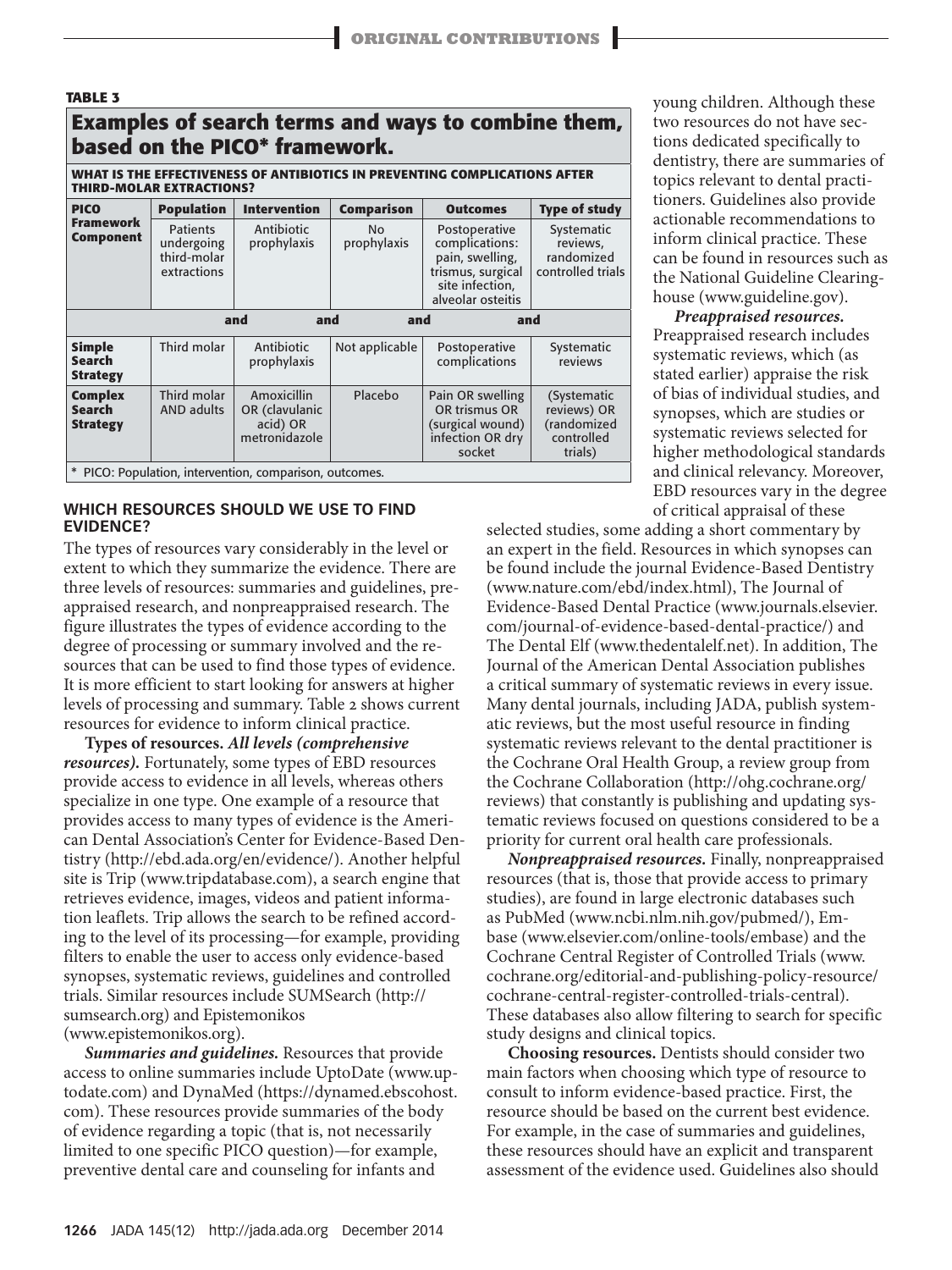| <b>TABLE 3</b>                                                                                                |                                                             |                                                            |                          |                                                                                                                 |                                                                    |  |  |  |  |  |  |
|---------------------------------------------------------------------------------------------------------------|-------------------------------------------------------------|------------------------------------------------------------|--------------------------|-----------------------------------------------------------------------------------------------------------------|--------------------------------------------------------------------|--|--|--|--|--|--|
| <b>Examples of search terms and ways to combine them,</b><br>based on the PICO* framework.                    |                                                             |                                                            |                          |                                                                                                                 |                                                                    |  |  |  |  |  |  |
| WHAT IS THE EFFECTIVENESS OF ANTIBIOTICS IN PREVENTING COMPLICATIONS AFTER<br><b>THIRD-MOLAR EXTRACTIONS?</b> |                                                             |                                                            |                          |                                                                                                                 |                                                                    |  |  |  |  |  |  |
| <b>PICO</b>                                                                                                   | <b>Population</b>                                           | <b>Intervention</b>                                        | <b>Comparison</b>        | <b>Outcomes</b>                                                                                                 | <b>Type of study</b>                                               |  |  |  |  |  |  |
| <b>Framework</b><br><b>Component</b>                                                                          | <b>Patients</b><br>undergoing<br>third-molar<br>extractions | Antibiotic<br>prophylaxis                                  | <b>No</b><br>prophylaxis | Postoperative<br>complications:<br>pain, swelling,<br>trismus, surgical<br>site infection,<br>alveolar osteitis | Systematic<br>reviews,<br>randomized<br>controlled trials          |  |  |  |  |  |  |
| and<br>and<br>and<br>and                                                                                      |                                                             |                                                            |                          |                                                                                                                 |                                                                    |  |  |  |  |  |  |
| <b>Simple</b><br><b>Search</b><br><b>Strategy</b>                                                             | Third molar                                                 | Antibiotic<br>prophylaxis                                  | Not applicable           | Postoperative<br>complications                                                                                  | Systematic<br>reviews                                              |  |  |  |  |  |  |
| <b>Complex</b><br><b>Search</b><br><b>Strategy</b>                                                            | Third molar<br><b>AND adults</b>                            | Amoxicillin<br>OR (clavulanic<br>acid) OR<br>metronidazole | Placebo                  | Pain OR swelling<br>OR trismus OR<br>(surgical wound)<br>infection OR dry<br>socket                             | (Systematic<br>reviews) OR<br>(randomized<br>controlled<br>trials) |  |  |  |  |  |  |
| * PICO: Population, intervention, comparison, outcomes.                                                       |                                                             |                                                            |                          |                                                                                                                 |                                                                    |  |  |  |  |  |  |

## **WHICH RESOURCES SHOULD WE USE TO FIND EVIDENCE?**

The types of resources vary considerably in the level or extent to which they summarize the evidence. There are three levels of resources: summaries and guidelines, preappraised research, and nonpreappraised research. The figure illustrates the types of evidence according to the degree of processing or summary involved and the resources that can be used to find those types of evidence. It is more efficient to start looking for answers at higher levels of processing and summary. Table 2 shows current resources for evidence to inform clinical practice.

**Types of resources.** *All levels (comprehensive resources).* Fortunately, some types of EBD resources provide access to evidence in all levels, whereas others specialize in one type. One example of a resource that provides access to many types of evidence is the American Dental Association's Center for Evidence-Based Dentistry (http://ebd.ada.org/en/evidence/). Another helpful site is Trip (www.tripdatabase.com), a search engine that retrieves evidence, images, videos and patient information leaflets. Trip allows the search to be refined according to the level of its processing—for example, providing filters to enable the user to access only evidence-based synopses, systematic reviews, guidelines and controlled trials. Similar resources include SUMSearch (http:// sumsearch.org) and Epistemonikos (www.epistemonikos.org).

*Summaries and guidelines.* Resources that provide access to online summaries include UptoDate (www.uptodate.com) and DynaMed (https://dynamed.ebscohost. com). These resources provide summaries of the body of evidence regarding a topic (that is, not necessarily limited to one specific PICO question)—for example, preventive dental care and counseling for infants and

young children. Although these two resources do not have sections dedicated specifically to dentistry, there are summaries of topics relevant to dental practitioners. Guidelines also provide actionable recommendations to inform clinical practice. These can be found in resources such as the National Guideline Clearinghouse (www.guideline.gov).

*Preappraised resources.* Preappraised research includes systematic reviews, which (as stated earlier) appraise the risk of bias of individual studies, and synopses, which are studies or systematic reviews selected for higher methodological standards and clinical relevancy. Moreover, EBD resources vary in the degree of critical appraisal of these

selected studies, some adding a short commentary by an expert in the field. Resources in which synopses can be found include the journal Evidence-Based Dentistry (www.nature.com/ebd/index.html), The Journal of Evidence-Based Dental Practice (www.journals.elsevier. com/journal-of-evidence-based-dental-practice/) and The Dental Elf (www.thedentalelf.net). In addition, The Journal of the American Dental Association publishes a critical summary of systematic reviews in every issue. Many dental journals, including JADA, publish systematic reviews, but the most useful resource in finding systematic reviews relevant to the dental practitioner is the Cochrane Oral Health Group, a review group from the Cochrane Collaboration (http://ohg.cochrane.org/ reviews) that constantly is publishing and updating systematic reviews focused on questions considered to be a priority for current oral health care professionals.

*Nonpreappraised resources.* Finally, nonpreappraised resources (that is, those that provide access to primary studies), are found in large electronic databases such as PubMed (www.ncbi.nlm.nih.gov/pubmed/), Embase (www.elsevier.com/online-tools/embase) and the Cochrane Central Register of Controlled Trials (www. cochrane.org/editorial-and-publishing-policy-resource/ cochrane-central-register-controlled-trials-central). These databases also allow filtering to search for specific study designs and clinical topics.

**Choosing resources.** Dentists should consider two main factors when choosing which type of resource to consult to inform evidence-based practice. First, the resource should be based on the current best evidence. For example, in the case of summaries and guidelines, these resources should have an explicit and transparent assessment of the evidence used. Guidelines also should